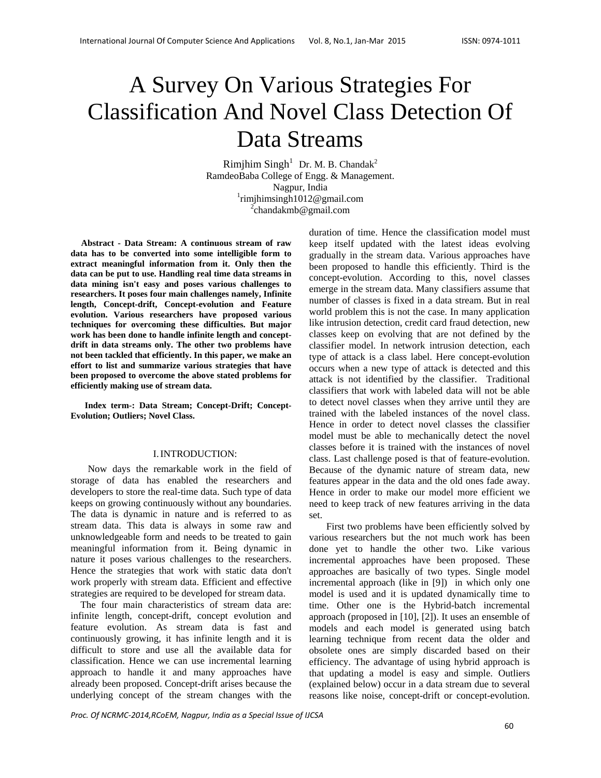# A Survey On Various Strategies For Classification And Novel Class Detection Of Data Streams

 $R$ imjhim  $Singh<sup>1</sup>$  Dr. M. B. Chandak<sup>2</sup> RamdeoBaba College of Engg. & Management. Nagpur, India 1 rimjhimsingh1012@gmail.com 2  $^{2}$ chandakmb@gmail.com

 **Abstract - Data Stream: A continuous stream of raw data has to be converted into some intelligible form to extract meaningful information from it. Only then the data can be put to use. Handling real time data streams in data mining isn't easy and poses various challenges to researchers. It poses four main challenges namely, Infinite length, Concept-drift, Concept-evolution and Feature evolution. Various researchers have proposed various techniques for overcoming these difficulties. But major work has been done to handle infinite length and conceptdrift in data streams only. The other two problems have not been tackled that efficiently. In this paper, we make an effort to list and summarize various strategies that have been proposed to overcome the above stated problems for efficiently making use of stream data.** 

**Index term-: Data Stream; Concept-Drift; Concept-Evolution; Outliers; Novel Class.** 

#### I.INTRODUCTION:

Now days the remarkable work in the field of storage of data has enabled the researchers and developers to store the real-time data. Such type of data keeps on growing continuously without any boundaries. The data is dynamic in nature and is referred to as stream data. This data is always in some raw and unknowledgeable form and needs to be treated to gain meaningful information from it. Being dynamic in nature it poses various challenges to the researchers. Hence the strategies that work with static data don't work properly with stream data. Efficient and effective strategies are required to be developed for stream data.

 The four main characteristics of stream data are: infinite length, concept-drift, concept evolution and feature evolution. As stream data is fast and continuously growing, it has infinite length and it is difficult to store and use all the available data for classification. Hence we can use incremental learning approach to handle it and many approaches have already been proposed. Concept-drift arises because the underlying concept of the stream changes with the

duration of time. Hence the classification model must keep itself updated with the latest ideas evolving gradually in the stream data. Various approaches have been proposed to handle this efficiently. Third is the concept-evolution. According to this, novel classes emerge in the stream data. Many classifiers assume that number of classes is fixed in a data stream. But in real world problem this is not the case. In many application like intrusion detection, credit card fraud detection, new classes keep on evolving that are not defined by the classifier model. In network intrusion detection, each type of attack is a class label. Here concept-evolution occurs when a new type of attack is detected and this attack is not identified by the classifier. Traditional classifiers that work with labeled data will not be able to detect novel classes when they arrive until they are trained with the labeled instances of the novel class. Hence in order to detect novel classes the classifier model must be able to mechanically detect the novel classes before it is trained with the instances of novel class. Last challenge posed is that of feature-evolution. Because of the dynamic nature of stream data, new features appear in the data and the old ones fade away. Hence in order to make our model more efficient we need to keep track of new features arriving in the data set.

 First two problems have been efficiently solved by various researchers but the not much work has been done yet to handle the other two. Like various incremental approaches have been proposed. These approaches are basically of two types. Single model incremental approach (like in [9]) in which only one model is used and it is updated dynamically time to time. Other one is the Hybrid-batch incremental approach (proposed in [10], [2]). It uses an ensemble of models and each model is generated using batch learning technique from recent data the older and obsolete ones are simply discarded based on their efficiency. The advantage of using hybrid approach is that updating a model is easy and simple. Outliers (explained below) occur in a data stream due to several reasons like noise, concept-drift or concept-evolution.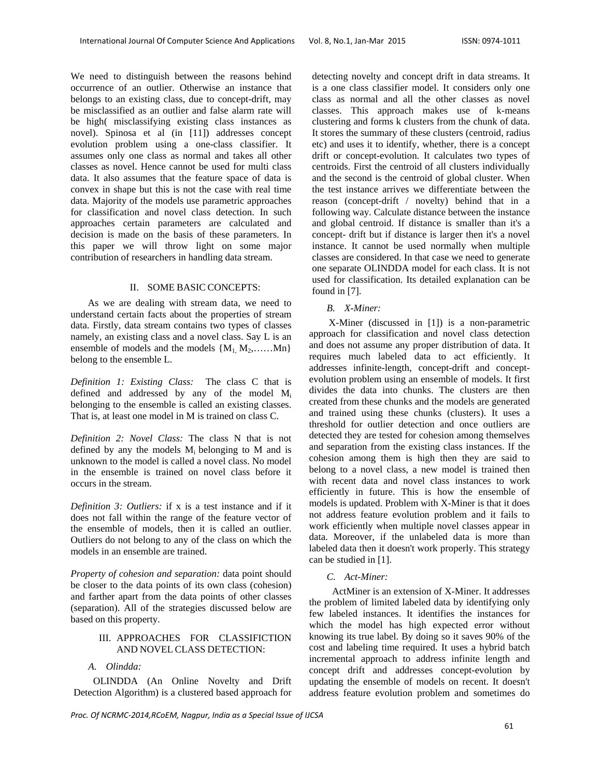We need to distinguish between the reasons behind occurrence of an outlier. Otherwise an instance that belongs to an existing class, due to concept-drift, may be misclassified as an outlier and false alarm rate will be high( misclassifying existing class instances as novel). Spinosa et al (in [11]) addresses concept evolution problem using a one-class classifier. It assumes only one class as normal and takes all other classes as novel. Hence cannot be used for multi class data. It also assumes that the feature space of data is convex in shape but this is not the case with real time data. Majority of the models use parametric approaches for classification and novel class detection. In such approaches certain parameters are calculated and decision is made on the basis of these parameters. In this paper we will throw light on some major contribution of researchers in handling data stream.

## II. SOME BASIC CONCEPTS:

 As we are dealing with stream data, we need to understand certain facts about the properties of stream data. Firstly, data stream contains two types of classes namely, an existing class and a novel class. Say L is an ensemble of models and the models  $\{M_1, M_2, \ldots, M_n\}$ belong to the ensemble L.

*Definition 1: Existing Class:* The class C that is defined and addressed by any of the model Mi belonging to the ensemble is called an existing classes. That is, at least one model in M is trained on class C.

*Definition 2: Novel Class:* The class N that is not defined by any the models  $M_i$  belonging to  $M$  and is unknown to the model is called a novel class. No model in the ensemble is trained on novel class before it occurs in the stream.

*Definition 3: Outliers:* if x is a test instance and if it does not fall within the range of the feature vector of the ensemble of models, then it is called an outlier. Outliers do not belong to any of the class on which the models in an ensemble are trained.

*Property of cohesion and separation:* data point should be closer to the data points of its own class (cohesion) and farther apart from the data points of other classes (separation). All of the strategies discussed below are based on this property.

# III. APPROACHES FOR CLASSIFICTION AND NOVEL CLASS DETECTION:

## *A. Olindda:*

OLINDDA (An Online Novelty and Drift Detection Algorithm) is a clustered based approach for detecting novelty and concept drift in data streams. It is a one class classifier model. It considers only one class as normal and all the other classes as novel classes. This approach makes use of k-means clustering and forms k clusters from the chunk of data. It stores the summary of these clusters (centroid, radius etc) and uses it to identify, whether, there is a concept drift or concept-evolution. It calculates two types of centroids. First the centroid of all clusters individually and the second is the centroid of global cluster. When the test instance arrives we differentiate between the reason (concept-drift / novelty) behind that in a following way. Calculate distance between the instance and global centroid. If distance is smaller than it's a concept- drift but if distance is larger then it's a novel instance. It cannot be used normally when multiple classes are considered. In that case we need to generate one separate OLINDDA model for each class. It is not used for classification. Its detailed explanation can be found in [7].

# *B. X-Miner:*

X-Miner (discussed in [1]) is a non-parametric approach for classification and novel class detection and does not assume any proper distribution of data. It requires much labeled data to act efficiently. It addresses infinite-length, concept-drift and conceptevolution problem using an ensemble of models. It first divides the data into chunks. The clusters are then created from these chunks and the models are generated and trained using these chunks (clusters). It uses a threshold for outlier detection and once outliers are detected they are tested for cohesion among themselves and separation from the existing class instances. If the cohesion among them is high then they are said to belong to a novel class, a new model is trained then with recent data and novel class instances to work efficiently in future. This is how the ensemble of models is updated. Problem with X-Miner is that it does not address feature evolution problem and it fails to work efficiently when multiple novel classes appear in data. Moreover, if the unlabeled data is more than labeled data then it doesn't work properly. This strategy can be studied in [1].

# *C. Act-Miner:*

ActMiner is an extension of X-Miner. It addresses the problem of limited labeled data by identifying only few labeled instances. It identifies the instances for which the model has high expected error without knowing its true label. By doing so it saves 90% of the cost and labeling time required. It uses a hybrid batch incremental approach to address infinite length and concept drift and addresses concept-evolution by updating the ensemble of models on recent. It doesn't address feature evolution problem and sometimes do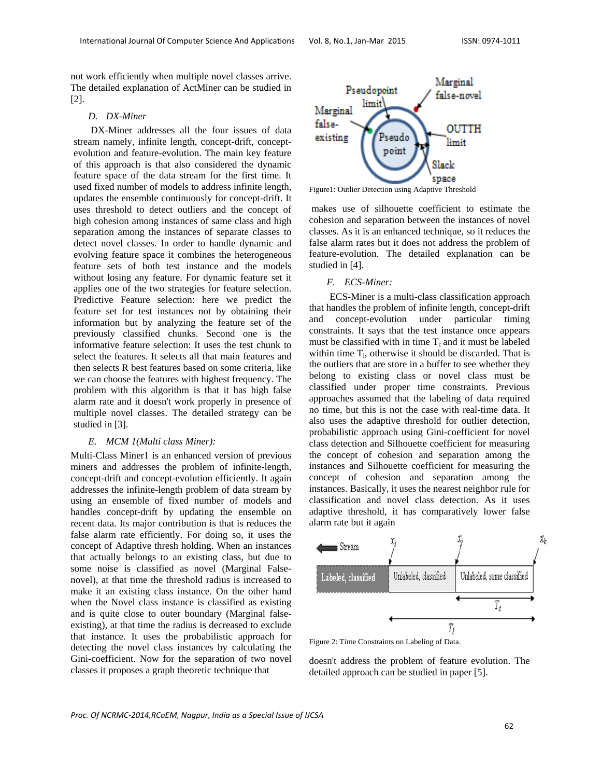not work efficiently when multiple novel classes arrive. The detailed explanation of ActMiner can be studied in [2].

#### *D. DX-Miner*

 DX-Miner addresses all the four issues of data stream namely, infinite length, concept-drift, conceptevolution and feature-evolution. The main key feature of this approach is that also considered the dynamic feature space of the data stream for the first time. It used fixed number of models to address infinite length, updates the ensemble continuously for concept-drift. It uses threshold to detect outliers and the concept of high cohesion among instances of same class and high separation among the instances of separate classes to detect novel classes. In order to handle dynamic and evolving feature space it combines the heterogeneous feature sets of both test instance and the models without losing any feature. For dynamic feature set it applies one of the two strategies for feature selection. Predictive Feature selection: here we predict the feature set for test instances not by obtaining their information but by analyzing the feature set of the previously classified chunks. Second one is the informative feature selection: It uses the test chunk to select the features. It selects all that main features and then selects R best features based on some criteria, like we can choose the features with highest frequency. The problem with this algorithm is that it has high false alarm rate and it doesn't work properly in presence of multiple novel classes. The detailed strategy can be studied in [3].

#### *E. MCM 1(Multi class Miner):*

Multi-Class Miner1 is an enhanced version of previous miners and addresses the problem of infinite-length, concept-drift and concept-evolution efficiently. It again addresses the infinite-length problem of data stream by using an ensemble of fixed number of models and handles concept-drift by updating the ensemble on recent data. Its major contribution is that is reduces the false alarm rate efficiently. For doing so, it uses the concept of Adaptive thresh holding. When an instances that actually belongs to an existing class, but due to some noise is classified as novel (Marginal Falsenovel), at that time the threshold radius is increased to make it an existing class instance. On the other hand when the Novel class instance is classified as existing and is quite close to outer boundary (Marginal falseexisting), at that time the radius is decreased to exclude that instance. It uses the probabilistic approach for detecting the novel class instances by calculating the Gini-coefficient. Now for the separation of two novel classes it proposes a graph theoretic technique that



Figure1: Outlier Detection using Adaptive Threshold

 makes use of silhouette coefficient to estimate the cohesion and separation between the instances of novel classes. As it is an enhanced technique, so it reduces the false alarm rates but it does not address the problem of feature-evolution. The detailed explanation can be studied in [4].

#### *F. ECS-Miner:*

 ECS-Miner is a multi-class classification approach that handles the problem of infinite length, concept-drift and concept-evolution under particular timing constraints. It says that the test instance once appears must be classified with in time  $T_c$  and it must be labeled within time  $T<sub>1</sub>$ , otherwise it should be discarded. That is the outliers that are store in a buffer to see whether they belong to existing class or novel class must be classified under proper time constraints. Previous approaches assumed that the labeling of data required no time, but this is not the case with real-time data. It also uses the adaptive threshold for outlier detection, probabilistic approach using Gini-coefficient for novel class detection and Silhouette coefficient for measuring the concept of cohesion and separation among the instances and Silhouette coefficient for measuring the concept of cohesion and separation among the instances. Basically, it uses the nearest neighbor rule for classification and novel class detection. As it uses adaptive threshold, it has comparatively lower false alarm rate but it again



Figure 2: Time Constraints on Labeling of Data.

doesn't address the problem of feature evolution. The detailed approach can be studied in paper [5].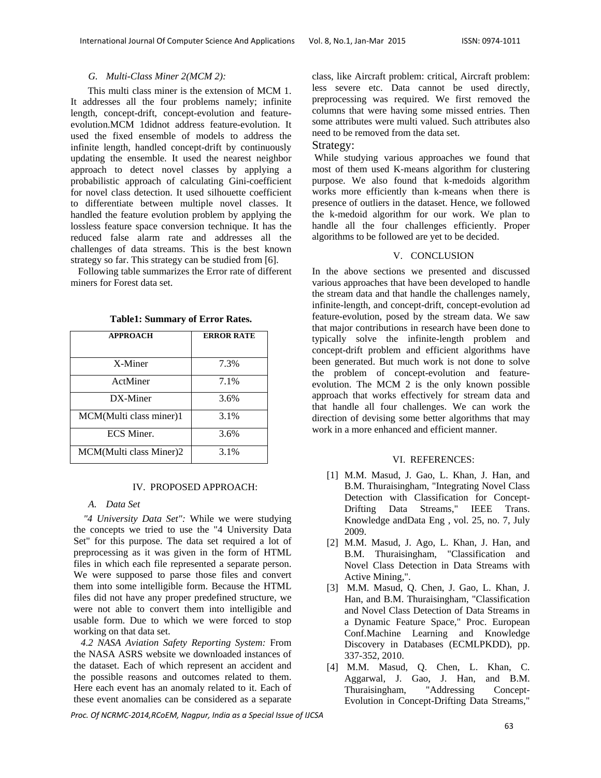# *G. Multi-Class Miner 2(MCM 2):*

 This multi class miner is the extension of MCM 1. It addresses all the four problems namely; infinite length, concept-drift, concept-evolution and featureevolution.MCM 1didnot address feature-evolution. It used the fixed ensemble of models to address the infinite length, handled concept-drift by continuously updating the ensemble. It used the nearest neighbor approach to detect novel classes by applying a probabilistic approach of calculating Gini-coefficient for novel class detection. It used silhouette coefficient to differentiate between multiple novel classes. It handled the feature evolution problem by applying the lossless feature space conversion technique. It has the reduced false alarm rate and addresses all the challenges of data streams. This is the best known strategy so far. This strategy can be studied from [6].

 Following table summarizes the Error rate of different miners for Forest data set.

| <b>APPROACH</b>         | <b>ERROR RATE</b> |
|-------------------------|-------------------|
| X-Miner                 | 7.3%              |
| ActMiner                | 7.1%              |
| DX-Miner                | 3.6%              |
| MCM(Multi class miner)1 | 3.1%              |
| <b>ECS</b> Miner.       | 3.6%              |
| MCM(Multi class Miner)2 | 3.1%              |

**Table1: Summary of Error Rates.** 

# IV. PROPOSED APPROACH:

# *A. Data Set*

 *"4 University Data Set":* While we were studying the concepts we tried to use the "4 University Data Set" for this purpose. The data set required a lot of preprocessing as it was given in the form of HTML files in which each file represented a separate person. We were supposed to parse those files and convert them into some intelligible form. Because the HTML files did not have any proper predefined structure, we were not able to convert them into intelligible and usable form. Due to which we were forced to stop working on that data set.

 *4.2 NASA Aviation Safety Reporting System:* From the NASA ASRS website we downloaded instances of the dataset. Each of which represent an accident and the possible reasons and outcomes related to them. Here each event has an anomaly related to it. Each of these event anomalies can be considered as a separate

class, like Aircraft problem: critical, Aircraft problem: less severe etc. Data cannot be used directly, preprocessing was required. We first removed the columns that were having some missed entries. Then some attributes were multi valued. Such attributes also need to be removed from the data set.

# Strategy:

 While studying various approaches we found that most of them used K-means algorithm for clustering purpose. We also found that k-medoids algorithm works more efficiently than k-means when there is presence of outliers in the dataset. Hence, we followed the k-medoid algorithm for our work. We plan to handle all the four challenges efficiently. Proper algorithms to be followed are yet to be decided.

# V. CONCLUSION

In the above sections we presented and discussed various approaches that have been developed to handle the stream data and that handle the challenges namely, infinite-length, and concept-drift, concept-evolution ad feature-evolution, posed by the stream data. We saw that major contributions in research have been done to typically solve the infinite-length problem and concept-drift problem and efficient algorithms have been generated. But much work is not done to solve the problem of concept-evolution and featureevolution. The MCM 2 is the only known possible approach that works effectively for stream data and that handle all four challenges. We can work the direction of devising some better algorithms that may work in a more enhanced and efficient manner

# VI. REFERENCES:

- [1] M.M. Masud, J. Gao, L. Khan, J. Han, and B.M. Thuraisingham, "Integrating Novel Class Detection with Classification for Concept-Drifting Data Streams," IEEE Trans. Knowledge andData Eng , vol. 25, no. 7, July 2009.
- [2] M.M. Masud, J. Ago, L. Khan, J. Han, and B.M. Thuraisingham, "Classification and Novel Class Detection in Data Streams with Active Mining,".
- [3] M.M. Masud, Q. Chen, J. Gao, L. Khan, J. Han, and B.M. Thuraisingham, "Classification and Novel Class Detection of Data Streams in a Dynamic Feature Space," Proc. European Conf.Machine Learning and Knowledge Discovery in Databases (ECMLPKDD), pp. 337-352, 2010.
- [4] M.M. Masud, Q. Chen, L. Khan, C. Aggarwal, J. Gao, J. Han, and B.M. Thuraisingham, "Addressing Concept-Evolution in Concept-Drifting Data Streams,"

*Proc. Of NCRMC‐2014,RCoEM, Nagpur, India as a Special Issue of IJCSA*